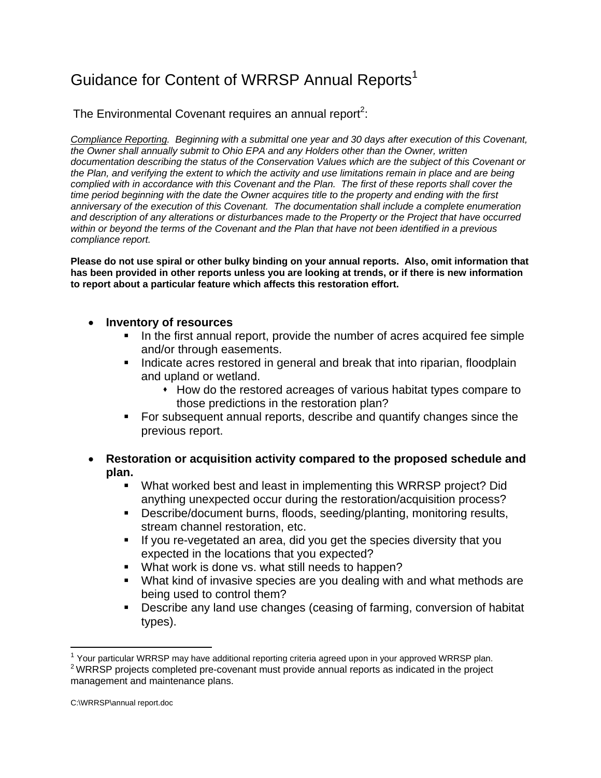## Guidance for Content of WRRSP Annual Reports<sup>1</sup>

The Environmental Covenant requires an annual report<sup>2</sup>:

*Compliance Reporting. Beginning with a submittal one year and 30 days after execution of this Covenant, the Owner shall annually submit to Ohio EPA and any Holders other than the Owner, written documentation describing the status of the Conservation Values which are the subject of this Covenant or the Plan, and verifying the extent to which the activity and use limitations remain in place and are being complied with in accordance with this Covenant and the Plan. The first of these reports shall cover the time period beginning with the date the Owner acquires title to the property and ending with the first anniversary of the execution of this Covenant. The documentation shall include a complete enumeration and description of any alterations or disturbances made to the Property or the Project that have occurred within or beyond the terms of the Covenant and the Plan that have not been identified in a previous compliance report.* 

**Please do not use spiral or other bulky binding on your annual reports. Also, omit information that has been provided in other reports unless you are looking at trends, or if there is new information to report about a particular feature which affects this restoration effort.** 

- **Inventory of resources** 
	- In the first annual report, provide the number of acres acquired fee simple and/or through easements.
	- Indicate acres restored in general and break that into riparian, floodplain and upland or wetland.
		- How do the restored acreages of various habitat types compare to those predictions in the restoration plan?
	- For subsequent annual reports, describe and quantify changes since the previous report.
- **Restoration or acquisition activity compared to the proposed schedule and plan.** 
	- What worked best and least in implementing this WRRSP project? Did anything unexpected occur during the restoration/acquisition process?
	- Describe/document burns, floods, seeding/planting, monitoring results, stream channel restoration, etc.
	- If you re-vegetated an area, did you get the species diversity that you expected in the locations that you expected?
	- **What work is done vs. what still needs to happen?**
	- What kind of invasive species are you dealing with and what methods are being used to control them?
	- **Describe any land use changes (ceasing of farming, conversion of habitat** types).

 $\overline{a}$ 

 $1$  Your particular WRRSP may have additional reporting criteria agreed upon in your approved WRRSP plan.  $2$  WRRSP projects completed pre-covenant must provide annual reports as indicated in the project

management and maintenance plans.